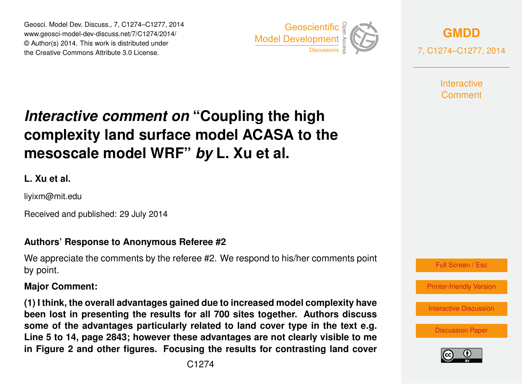Geosci. Model Dev. Discuss., 7, C1274–C1277, 2014 www.geosci-model-dev-discuss.net/7/C1274/2014/ © Author(s) 2014. This work is distributed under Geosci. Model Dev. Discuss., 7, C1274–C1277, 2014<br>www.geosci-model-dev-discuss.net/7/C1274/2014/<br>© Author(s) 2014. This work is distributed under<br>the Creative Commons Attribute 3.0 License.



**[GMDD](http://www.geosci-model-dev-discuss.net)** 7, C1274–C1277, 2014

> **Interactive** Comment

# *Interactive comment on* **"Coupling the high complexity land surface model ACASA to the mesoscale model WRF"** *by* **L. Xu et al.**

**L. Xu et al.**

liyixm@mit.edu

Received and published: 29 July 2014

### **Authors' Response to Anonymous Referee #2**

We appreciate the comments by the referee #2. We respond to his/her comments point by point.

#### **Major Comment:**

**(1) I think, the overall advantages gained due to increased model complexity have been lost in presenting the results for all 700 sites together. Authors discuss some of the advantages particularly related to land cover type in the text e.g. Line 5 to 14, page 2843; however these advantages are not clearly visible to me in Figure 2 and other figures. Focusing the results for contrasting land cover**



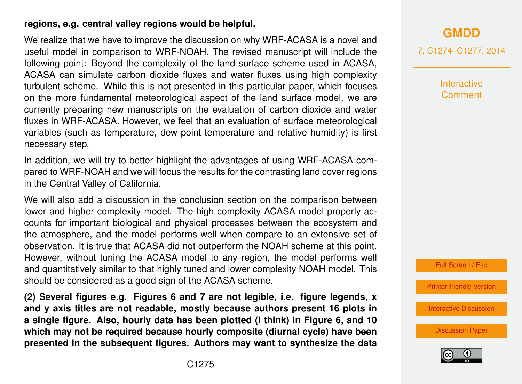#### **regions, e.g. central valley regions would be helpful.**

We realize that we have to improve the discussion on why WRF-ACASA is a novel and useful model in comparison to WRF-NOAH. The revised manuscript will include the following point: Beyond the complexity of the land surface scheme used in ACASA, ACASA can simulate carbon dioxide fluxes and water fluxes using high complexity turbulent scheme. While this is not presented in this particular paper, which focuses on the more fundamental meteorological aspect of the land surface model, we are currently preparing new manuscripts on the evaluation of carbon dioxide and water fluxes in WRF-ACASA. However, we feel that an evaluation of surface meteorological variables (such as temperature, dew point temperature and relative humidity) is first necessary step.

In addition, we will try to better highlight the advantages of using WRF-ACASA compared to WRF-NOAH and we will focus the results for the contrasting land cover regions in the Central Valley of California.

We will also add a discussion in the conclusion section on the comparison between lower and higher complexity model. The high complexity ACASA model properly accounts for important biological and physical processes between the ecosystem and the atmosphere, and the model performs well when compare to an extensive set of observation. It is true that ACASA did not outperform the NOAH scheme at this point. However, without tuning the ACASA model to any region, the model performs well and quantitatively similar to that highly tuned and lower complexity NOAH model. This should be considered as a good sign of the ACASA scheme.

**(2) Several figures e.g. Figures 6 and 7 are not legible, i.e. figure legends, x and y axis titles are not readable, mostly because authors present 16 plots in a single figure. Also, hourly data has been plotted (I think) in Figure 6, and 10 which may not be required because hourly composite (diurnal cycle) have been presented in the subsequent figures. Authors may want to synthesize the data** 7, C1274–C1277, 2014

**Interactive Comment** 

Full Screen / Esc

[Printer-friendly Version](http://www.geosci-model-dev-discuss.net/7/C1274/2014/gmdd-7-C1274-2014-print.pdf)

[Interactive Discussion](http://www.geosci-model-dev-discuss.net/7/2829/2014/gmdd-7-2829-2014-discussion.html)

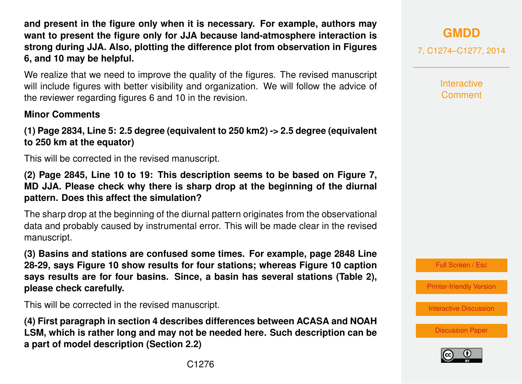**and present in the figure only when it is necessary. For example, authors may want to present the figure only for JJA because land-atmosphere interaction is strong during JJA. Also, plotting the difference plot from observation in Figures 6, and 10 may be helpful.**

We realize that we need to improve the quality of the figures. The revised manuscript will include figures with better visibility and organization. We will follow the advice of the reviewer regarding figures 6 and 10 in the revision.

## **Minor Comments**

**(1) Page 2834, Line 5: 2.5 degree (equivalent to 250 km2) -> 2.5 degree (equivalent to 250 km at the equator)**

This will be corrected in the revised manuscript.

**(2) Page 2845, Line 10 to 19: This description seems to be based on Figure 7, MD JJA. Please check why there is sharp drop at the beginning of the diurnal pattern. Does this affect the simulation?**

The sharp drop at the beginning of the diurnal pattern originates from the observational data and probably caused by instrumental error. This will be made clear in the revised manuscript.

**(3) Basins and stations are confused some times. For example, page 2848 Line 28-29, says Figure 10 show results for four stations; whereas Figure 10 caption says results are for four basins. Since, a basin has several stations (Table 2), please check carefully.**

This will be corrected in the revised manuscript.

**(4) First paragraph in section 4 describes differences between ACASA and NOAH LSM, which is rather long and may not be needed here. Such description can be a part of model description (Section 2.2)**

7, C1274–C1277, 2014

**Interactive Comment** 



[Printer-friendly Version](http://www.geosci-model-dev-discuss.net/7/C1274/2014/gmdd-7-C1274-2014-print.pdf)

[Interactive Discussion](http://www.geosci-model-dev-discuss.net/7/2829/2014/gmdd-7-2829-2014-discussion.html)